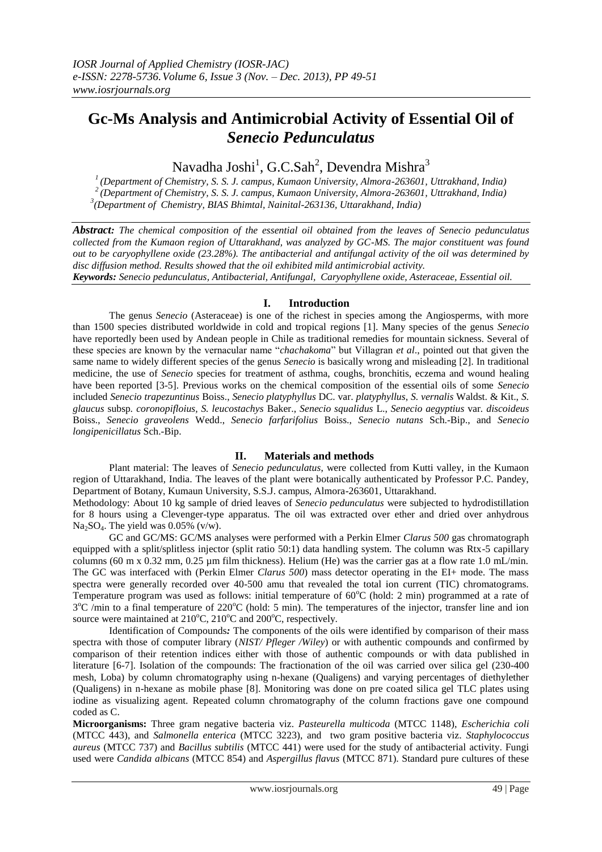# **Gc-Ms Analysis and Antimicrobial Activity of Essential Oil of**  *Senecio Pedunculatus*

Navadha Joshi $^{\rm l}$ , G.C.Sah $^{\rm 2}$ , Devendra Mishra $^{\rm 3}$ 

*<sup>1</sup>(Department of Chemistry, S. S. J. campus, Kumaon University, Almora-263601, Uttrakhand, India) <sup>2</sup>(Department of Chemistry, S. S. J. campus, Kumaon University, Almora-263601, Uttrakhand, India) 3 (Department of Chemistry, BIAS Bhimtal, Nainital-263136, Uttarakhand, India)*

*Abstract: The chemical composition of the essential oil obtained from the leaves of Senecio pedunculatus collected from the Kumaon region of Uttarakhand, was analyzed by GC-MS. The major constituent was found out to be caryophyllene oxide (23.28%). The antibacterial and antifungal activity of the oil was determined by disc diffusion method. Results showed that the oil exhibited mild antimicrobial activity.*

*Keywords: Senecio pedunculatus, Antibacterial, Antifungal, Caryophyllene oxide, Asteraceae, Essential oil.*

# **I. Introduction**

The genus *Senecio* (Asteraceae) is one of the richest in species among the Angiosperms, with more than 1500 species distributed worldwide in cold and tropical regions [1]. Many species of the genus *Senecio*  have reportedly been used by Andean people in Chile as traditional remedies for mountain sickness. Several of these species are known by the vernacular name "*chachakoma*" but Villagran *et al*., pointed out that given the same name to widely different species of the genus *Senecio* is basically wrong and misleading [2]. In traditional medicine, the use of *Senecio* species for treatment of asthma, coughs, bronchitis, eczema and wound healing have been reported [3-5]. Previous works on the chemical composition of the essential oils of some *Senecio*  included *Senecio trapezuntinus* Boiss., *Senecio platyphyllus* DC. var. *platyphyllus*, *S. vernalis* Waldst. & Kit., *S. glaucus* subsp*. coronopifloius, S. leucostachys* Baker., *Senecio squalidus* L., *Senecio aegyptius* var*. discoideus*  Boiss., *Senecio graveolens* Wedd., *Senecio farfarifolius* Boiss., *Senecio nutans* Sch.-Bip., and *Senecio longipenicillatus* Sch.-Bip.

# **II. Materials and methods**

Plant material: The leaves of *Senecio pedunculatus*, were collected from Kutti valley, in the Kumaon region of Uttarakhand, India. The leaves of the plant were botanically authenticated by Professor P.C. Pandey, Department of Botany, Kumaun University, S.S.J. campus, Almora-263601, Uttarakhand.

Methodology: About 10 kg sample of dried leaves of *Senecio pedunculatus* were subjected to hydrodistillation for 8 hours using a Clevenger-type apparatus. The oil was extracted over ether and dried over anhydrous Na<sub>2</sub>SO<sub>4</sub>. The yield was  $0.05\%$  (v/w).

GC and GC/MS: GC/MS analyses were performed with a Perkin Elmer *Clarus 500* gas chromatograph equipped with a split/splitless injector (split ratio 50:1) data handling system. The column was Rtx-5 capillary columns (60 m x 0.32 mm, 0.25 µm film thickness). Helium (He) was the carrier gas at a flow rate 1.0 mL/min. The GC was interfaced with (Perkin Elmer *Clarus 500*) mass detector operating in the EI+ mode. The mass spectra were generally recorded over 40-500 amu that revealed the total ion current (TIC) chromatograms. Temperature program was used as follows: initial temperature of  $60^{\circ}$ C (hold: 2 min) programmed at a rate of 3<sup>o</sup>C /min to a final temperature of 220<sup>o</sup>C (hold: 5 min). The temperatures of the injector, transfer line and ion source were maintained at  $210^{\circ}$ C,  $210^{\circ}$ C and  $200^{\circ}$ C, respectively.

Identification of Compounds*:* The components of the oils were identified by comparison of their mass spectra with those of computer library (*NIST/ Pfleger /Wiley*) or with authentic compounds and confirmed by comparison of their retention indices either with those of authentic compounds or with data published in literature [6-7]. Isolation of the compounds: The fractionation of the oil was carried over silica gel (230-400 mesh, Loba) by column chromatography using n-hexane (Qualigens) and varying percentages of diethylether (Qualigens) in n-hexane as mobile phase [8]. Monitoring was done on pre coated silica gel TLC plates using iodine as visualizing agent. Repeated column chromatography of the column fractions gave one compound coded as C.

**Microorganisms:** Three gram negative bacteria viz. *Pasteurella multicoda* (MTCC 1148), *Escherichia coli* (MTCC 443), and *Salmonella enterica* (MTCC 3223), and two gram positive bacteria viz. *Staphylococcus aureus* (MTCC 737) and *Bacillus subtilis* (MTCC 441) were used for the study of antibacterial activity. Fungi used were *Candida albicans* (MTCC 854) and *Aspergillus flavus* (MTCC 871). Standard pure cultures of these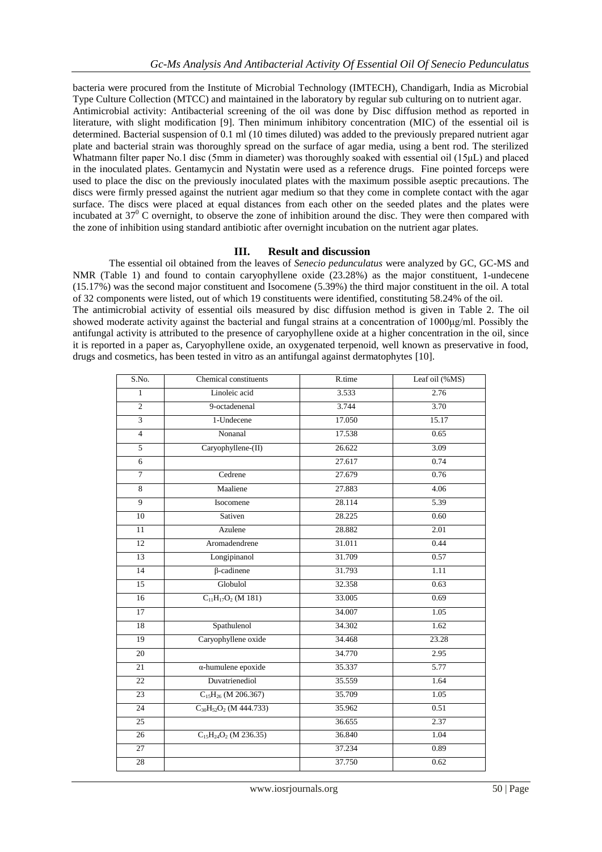bacteria were procured from the Institute of Microbial Technology (IMTECH), Chandigarh, India as Microbial Type Culture Collection (MTCC) and maintained in the laboratory by regular sub culturing on to nutrient agar. Antimicrobial activity: Antibacterial screening of the oil was done by Disc diffusion method as reported in literature, with slight modification [9]. Then minimum inhibitory concentration (MIC) of the essential oil is determined. Bacterial suspension of 0.1 ml (10 times diluted) was added to the previously prepared nutrient agar plate and bacterial strain was thoroughly spread on the surface of agar media, using a bent rod. The sterilized Whatmann filter paper No.1 disc (5mm in diameter) was thoroughly soaked with essential oil (15μL) and placed in the inoculated plates. Gentamycin and Nystatin were used as a reference drugs. Fine pointed forceps were used to place the disc on the previously inoculated plates with the maximum possible aseptic precautions. The discs were firmly pressed against the nutrient agar medium so that they come in complete contact with the agar surface. The discs were placed at equal distances from each other on the seeded plates and the plates were incubated at  $37<sup>0</sup>$  C overnight, to observe the zone of inhibition around the disc. They were then compared with the zone of inhibition using standard antibiotic after overnight incubation on the nutrient agar plates.

## **III. Result and discussion**

The essential oil obtained from the leaves of *Senecio pedunculatus* were analyzed by GC, GC-MS and NMR (Table 1) and found to contain caryophyllene oxide (23.28%) as the major constituent, 1-undecene (15.17%) was the second major constituent and Isocomene (5.39%) the third major constituent in the oil. A total of 32 components were listed, out of which 19 constituents were identified, constituting 58.24% of the oil. The antimicrobial activity of essential oils measured by disc diffusion method is given in Table 2. The oil showed moderate activity against the bacterial and fungal strains at a concentration of 1000μg/ml. Possibly the antifungal activity is attributed to the presence of caryophyllene oxide at a higher concentration in the oil, since it is reported in a paper as, Caryophyllene oxide, an oxygenated terpenoid, well known as preservative in food, drugs and cosmetics, has been tested in vitro as an antifungal against dermatophytes [10].

|                               |        | Leaf oil (%MS)                  |
|-------------------------------|--------|---------------------------------|
| Linoleic acid                 | 3.533  | 2.76                            |
| 9-octadenenal                 | 3.744  | 3.70                            |
| 1-Undecene                    | 17.050 | 15.17                           |
| Nonanal                       | 17.538 | 0.65                            |
| Caryophyllene-(II)            | 26.622 | 3.09                            |
|                               | 27.617 | 0.74                            |
| Cedrene                       | 27.679 | 0.76                            |
| Maaliene                      | 27.883 | 4.06                            |
| Isocomene                     | 28.114 | 5.39                            |
| Sativen                       | 28.225 | 0.60                            |
| Azulene                       | 28.882 | 2.01                            |
| Aromadendrene                 | 31.011 | 0.44                            |
| Longipinanol                  | 31.709 | 0.57                            |
| $\beta$ -cadinene             | 31.793 | 1.11                            |
| Globulol                      | 32.358 | 0.63                            |
| $C_{11}H_{17}O_2$ (M 181)     | 33.005 | 0.69                            |
|                               | 34.007 | 1.05                            |
| Spathulenol                   | 34.302 | 1.62                            |
| Caryophyllene oxide           | 34.468 | 23.28                           |
|                               | 34.770 | 2.95                            |
| $\alpha$ -humulene epoxide    | 35.337 | 5.77                            |
| Duvatrienediol                | 35.559 | 1.64                            |
| $C_{15}H_{26}$ (M 206.367)    | 35.709 | 1.05                            |
| $C_{30}H_{52}O_2$ (M 444.733) | 35.962 | 0.51                            |
|                               | 36.655 | 2.37                            |
| $C_{15}H_{24}O_2$ (M 236.35)  | 36.840 | 1.04                            |
|                               | 37.234 | 0.89                            |
|                               | 37.750 | 0.62                            |
|                               |        | Chemical constituents<br>R.time |